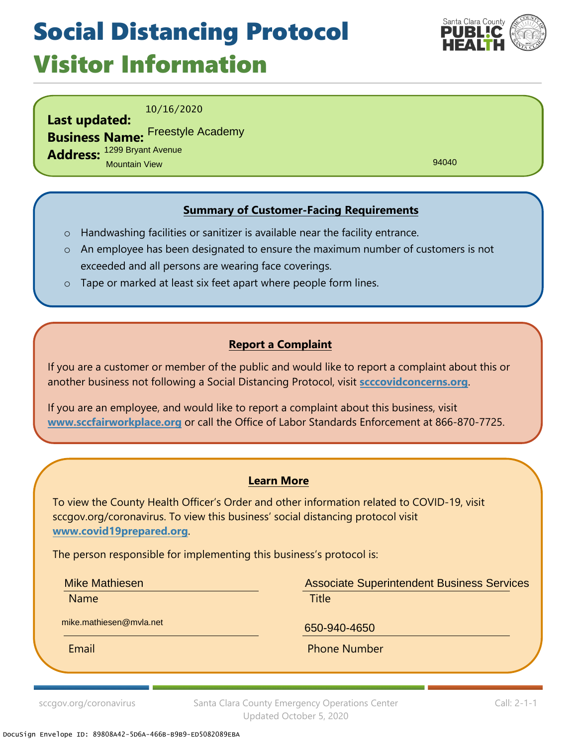## Social Distancing Protocol Visitor Information



10/16/2020

**Last updated: Business Name:** Freestyle Academy **Address:** 1299 Bryant Avenue Mountain View

94040

### **Summary of Customer-Facing Requirements**

- o Handwashing facilities or sanitizer is available near the facility entrance.
- o An employee has been designated to ensure the maximum number of customers is not exceeded and all persons are wearing face coverings.
- o Tape or marked at least six feet apart where people form lines.

#### **Report a Complaint**

If you are a customer or member of the public and would like to report a complaint about this or another business not following a Social Distancing Protocol, visit **scccovidconcerns.org**.

If you are an employee, and would like to report a complaint about this business, visit **www.sccfairworkplace.org** or call the Office of Labor Standards Enforcement at 866-870-7725.

#### **Learn More**

To view the County Health Officer's Order and other information related to COVID-19, visit sccgov.org/coronavirus. To view this business' social distancing protocol visit **www.covid19prepared.org**.

The person responsible for implementing this business's protocol is:

Mike Mathiesen

Name **Name is a structure of the Contract Contract Contract Contract Contract Contract Contract Contract Contra** Associate Superintendent Business Services

mike.mathiesen@mvla.net 650-940-4650

Email **Email** Phone Number

sccgov.org/coronavirus Santa Clara County Emergency Operations Center Updated October 5, 2020